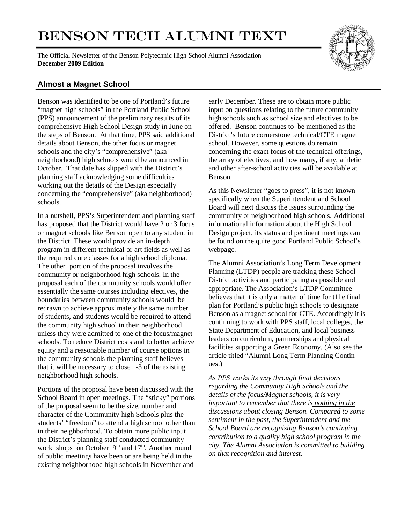# BENSON TECH ALUMNI TEXT

The Official Newsletter of the Benson Polytechnic High School Alumni Association **December 2009 Edition**



### **Almost a Magnet School**

Benson was identified to be one of Portland's future "magnet high schools" in the Portland Public School (PPS) announcement of the preliminary results of its comprehensive High School Design study in June on the steps of Benson. At that time, PPS said additional details about Benson, the other focus or magnet schools and the city's "comprehensive" (aka neighborhood) high schools would be announced in October. That date has slipped with the District's planning staff acknowledging some difficulties working out the details of the Design especially concerning the "comprehensive" (aka neighborhood) schools.

In a nutshell, PPS's Superintendent and planning staff has proposed that the District would have 2 or 3 focus or magnet schools like Benson open to any student in the District. These would provide an in-depth program in different technical or art fields as well as the required core classes for a high school diploma. The other portion of the proposal involves the community or neighborhood high schools. In the proposal each of the community schools would offer essentially the same courses including electives, the boundaries between community schools would be redrawn to achieve approximately the same number of students, and students would be required to attend the community high school in their neighborhood unless they were admitted to one of the focus/magnet schools. To reduce District costs and to better achieve equity and a reasonable number of course options in the community schools the planning staff believes that it will be necessary to close 1-3 of the existing neighborhood high schools.

Portions of the proposal have been discussed with the School Board in open meetings. The "sticky" portions of the proposal seem to be the size, number and character of the Community high Schools plus the students' "freedom" to attend a high school other than in their neighborhood. To obtain more public input the District's planning staff conducted community work shops on October  $9<sup>th</sup>$  and  $17<sup>th</sup>$ . Another round of public meetings have been or are being held in the existing neighborhood high schools in November and

early December. These are to obtain more public input on questions relating to the future community high schools such as school size and electives to be offered. Benson continues to be mentioned as the District's future cornerstone technical/CTE magnet school. However, some questions do remain concerning the exact focus of the technical offerings, the array of electives, and how many, if any, athletic and other after-school activities will be available at Benson.

As this Newsletter "goes to press", it is not known specifically when the Superintendent and School Board will next discuss the issues surrounding the community or neighborhood high schools. Additional informational information about the High School Design project, its status and pertinent meetings can be found on the quite good Portland Public School's webpage.

The Alumni Association's Long Term Development Planning (LTDP) people are tracking these School District activities and participating as possible and appropriate. The Association's LTDP Committee believes that it is only a matter of time for t1he final plan for Portland's public high schools to designate Benson as a magnet school for CTE. Accordingly it is continuing to work with PPS staff, local colleges, the State Department of Education, and local business leaders on curriculum, partnerships and physical facilities supporting a Green Economy. (Also see the article titled "Alumni Long Term Planning Continues.)

*As PPS works its way through final decisions regarding the Community High Schools and the details of the focus/Magnet schools, it is very important to remember that there is nothing in the discussions about closing Benson. Compared to some sentiment in the past, the Superintendent and the School Board are recognizing Benson's continuing contribution to a quality high school program in the city. The Alumni Association is committed to building on that recognition and interest.*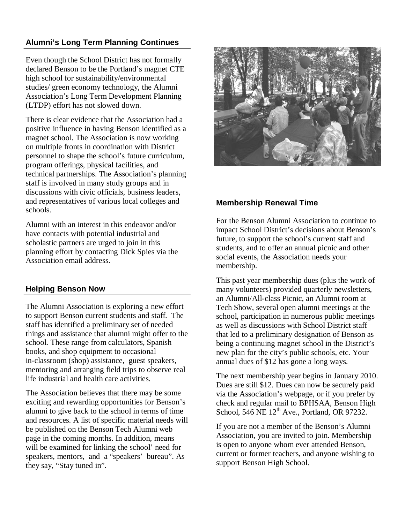# **Alumni's Long Term Planning Continues**

Even though the School District has not formally declared Benson to be the Portland's magnet CTE high school for sustainability/environmental studies/ green economy technology, the Alumni Association's Long Term Development Planning (LTDP) effort has not slowed down.

There is clear evidence that the Association had a positive influence in having Benson identified as a magnet school. The Association is now working on multiple fronts in coordination with District personnel to shape the school's future curriculum, program offerings, physical facilities, and technical partnerships. The Association's planning staff is involved in many study groups and in discussions with civic officials, business leaders, and representatives of various local colleges and schools.

Alumni with an interest in this endeavor and/or have contacts with potential industrial and scholastic partners are urged to join in this planning effort by contacting Dick Spies via the Association email address.

# **Helping Benson Now**

The Alumni Association is exploring a new effort to support Benson current students and staff. The staff has identified a preliminary set of needed things and assistance that alumni might offer to the school. These range from calculators, Spanish books, and shop equipment to occasional in-classroom (shop) assistance, guest speakers, mentoring and arranging field trips to observe real life industrial and health care activities.

The Association believes that there may be some exciting and rewarding opportunities for Benson's alumni to give back to the school in terms of time and resources. A list of specific material needs will be published on the Benson Tech Alumni web page in the coming months. In addition, means will be examined for linking the school' need for speakers, mentors, and a "speakers' bureau". As they say, "Stay tuned in".



#### **Membership Renewal Time**

For the Benson Alumni Association to continue to impact School District's decisions about Benson's future, to support the school's current staff and students, and to offer an annual picnic and other social events, the Association needs your membership.

This past year membership dues (plus the work of many volunteers) provided quarterly newsletters, an Alumni/All-class Picnic, an Alumni room at Tech Show, several open alumni meetings at the school, participation in numerous public meetings as well as discussions with School District staff that led to a preliminary designation of Benson as being a continuing magnet school in the District's new plan for the city's public schools, etc. Your annual dues of \$12 has gone a long ways.

The next membership year begins in January 2010. Dues are still \$12. Dues can now be securely paid via the Association's webpage, or if you prefer by check and regular mail to BPHSAA, Benson High School, 546 NE  $12^{th}$  Ave., Portland, OR 97232.

If you are not a member of the Benson's Alumni Association, you are invited to join. Membership is open to anyone whom ever attended Benson, current or former teachers, and anyone wishing to support Benson High School.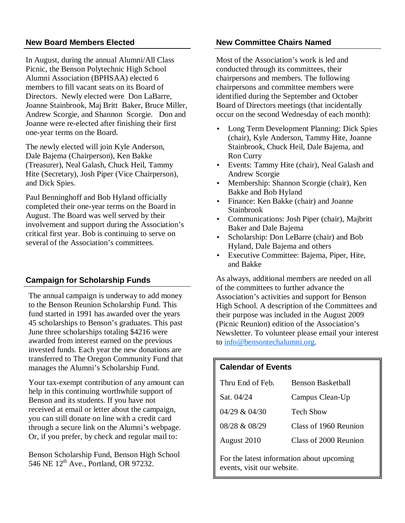In August, during the annual Alumni/All Class Picnic, the Benson Polytechnic High School Alumni Association (BPHSAA) elected 6 members to fill vacant seats on its Board of Directors. Newly elected were Don LaBarre, Joanne Stainbrook, Maj Britt Baker, Bruce Miller, Andrew Scorgie, and Shannon Scorgie. Don and Joanne were re-elected after finishing their first one-year terms on the Board.

The newly elected will join Kyle Anderson, Dale Bajema (Chairperson), Ken Bakke (Treasurer), Neal Galash, Chuck Heil, Tammy Hite (Secretary), Josh Piper (Vice Chairperson), and Dick Spies.

Paul Benninghoff and Bob Hyland officially completed their one-year terms on the Board in August. The Board was well served by their involvement and support during the Association's critical first year. Bob is continuing to serve on several of the Association's committees.

# **Campaign for Scholarship Funds**

The annual campaign is underway to add money to the Benson Reunion Scholarship Fund. This fund started in 1991 has awarded over the years 45 scholarships to Benson's graduates. This past June three scholarships totaling \$4216 were awarded from interest earned on the previous invested funds. Each year the new donations are transferred to The Oregon Community Fund that manages the Alumni's Scholarship Fund.

Your tax-exempt contribution of any amount can help in this continuing worthwhile support of Benson and its students. If you have not received at email or letter about the campaign, you can still donate on line with a credit card through a secure link on the Alumni's webpage. Or, if you prefer, by check and regular mail to:

Benson Scholarship Fund, Benson High School 546 NE 12<sup>th</sup> Ave., Portland, OR 97232.

#### **New Board Members Elected Committee Chairs Named Committee Chairs Named**

Most of the Association's work is led and conducted through its committees, their chairpersons and members. The following chairpersons and committee members were identified during the September and October Board of Directors meetings (that incidentally occur on the second Wednesday of each month):

- Long Term Development Planning: Dick Spies (chair), Kyle Anderson, Tammy Hite, Joanne Stainbrook, Chuck Heil, Dale Bajema, and Ron Curry
- Events: Tammy Hite (chair), Neal Galash and Andrew Scorgie
- Membership: Shannon Scorgie (chair), Ken Bakke and Bob Hyland
- Finance: Ken Bakke (chair) and Joanne Stainbrook
- Communications: Josh Piper (chair), Majbritt Baker and Dale Bajema
- Scholarship: Don LeBarre (chair) and Bob Hyland, Dale Bajema and others
- Executive Committee: Bajema, Piper, Hite, and Bakke

As always, additional members are needed on all of the committees to further advance the Association's activities and support for Benson High School. A description of the Committees and their purpose was included in the August 2009 (Picnic Reunion) edition of the Association's Newsletter. To volunteer please email your interest to info@bensontechalumni.org.

#### **Calendar of Events**

| Thru End of Feb.  | <b>Benson Basketball</b> |
|-------------------|--------------------------|
| Sat. 04/24        | Campus Clean-Up          |
| $04/29$ & $04/30$ | <b>Tech Show</b>         |
| 08/28 & 08/29     | Class of 1960 Reunion    |
| August 2010       | Class of 2000 Reunion    |

For the latest information about upcoming events, visit our website.